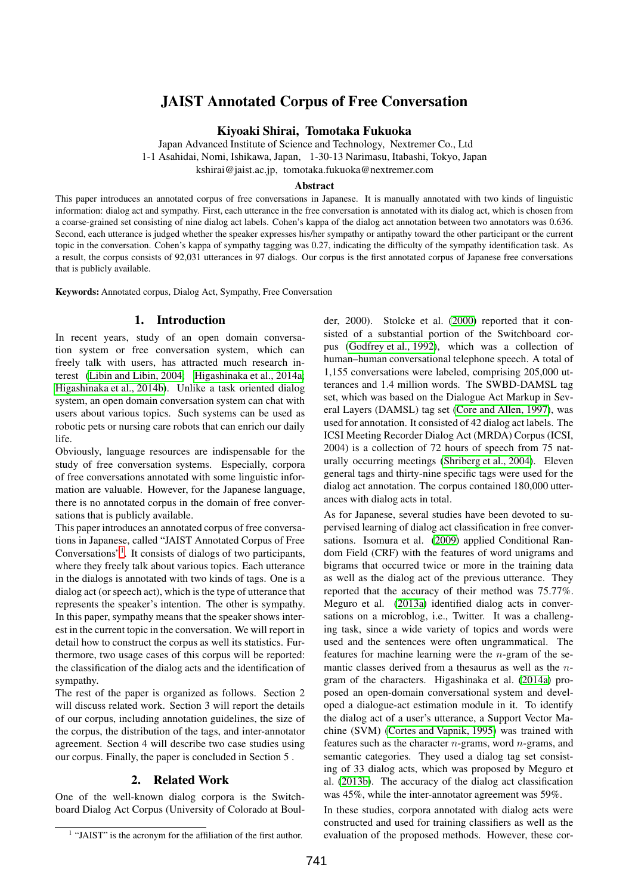# JAIST Annotated Corpus of Free Conversation

Kiyoaki Shirai, Tomotaka Fukuoka

Japan Advanced Institute of Science and Technology, Nextremer Co., Ltd 1-1 Asahidai, Nomi, Ishikawa, Japan, 1-30-13 Narimasu, Itabashi, Tokyo, Japan

kshirai@jaist.ac.jp, tomotaka.fukuoka@nextremer.com

## **Abstract**

This paper introduces an annotated corpus of free conversations in Japanese. It is manually annotated with two kinds of linguistic information: dialog act and sympathy. First, each utterance in the free conversation is annotated with its dialog act, which is chosen from a coarse-grained set consisting of nine dialog act labels. Cohen's kappa of the dialog act annotation between two annotators was 0.636. Second, each utterance is judged whether the speaker expresses his/her sympathy or antipathy toward the other participant or the current topic in the conversation. Cohen's kappa of sympathy tagging was 0.27, indicating the difficulty of the sympathy identification task. As a result, the corpus consists of 92,031 utterances in 97 dialogs. Our corpus is the first annotated corpus of Japanese free conversations that is publicly available.

Keywords: Annotated corpus, Dialog Act, Sympathy, Free Conversation

# 1. Introduction

In recent years, study of an open domain conversation system or free conversation system, which can freely talk with users, has attracted much research interest [\(Libin and Libin, 2004;](#page-6-0) [Higashinaka et al., 2014a;](#page-6-1) [Higashinaka et al., 2014b\)](#page-6-2). Unlike a task oriented dialog system, an open domain conversation system can chat with users about various topics. Such systems can be used as robotic pets or nursing care robots that can enrich our daily life.

Obviously, language resources are indispensable for the study of free conversation systems. Especially, corpora of free conversations annotated with some linguistic information are valuable. However, for the Japanese language, there is no annotated corpus in the domain of free conversations that is publicly available.

This paper introduces an annotated corpus of free conversations in Japanese, called "JAIST Annotated Corpus of Free Conversations"[1](#page-0-0) . It consists of dialogs of two participants, where they freely talk about various topics. Each utterance in the dialogs is annotated with two kinds of tags. One is a dialog act (or speech act), which is the type of utterance that represents the speaker's intention. The other is sympathy. In this paper, sympathy means that the speaker shows interest in the current topic in the conversation. We will report in detail how to construct the corpus as well its statistics. Furthermore, two usage cases of this corpus will be reported: the classification of the dialog acts and the identification of sympathy.

The rest of the paper is organized as follows. Section 2 will discuss related work. Section 3 will report the details of our corpus, including annotation guidelines, the size of the corpus, the distribution of the tags, and inter-annotator agreement. Section 4 will describe two case studies using our corpus. Finally, the paper is concluded in Section 5 .

# 2. Related Work

One of the well-known dialog corpora is the Switchboard Dialog Act Corpus (University of Colorado at Boul-

der, 2000). Stolcke et al. [\(2000\)](#page-6-3) reported that it consisted of a substantial portion of the Switchboard corpus [\(Godfrey et al., 1992\)](#page-6-4), which was a collection of human–human conversational telephone speech. A total of 1,155 conversations were labeled, comprising 205,000 utterances and 1.4 million words. The SWBD-DAMSL tag set, which was based on the Dialogue Act Markup in Several Layers (DAMSL) tag set [\(Core and Allen, 1997\)](#page-6-5), was used for annotation. It consisted of 42 dialog act labels. The ICSI Meeting Recorder Dialog Act (MRDA) Corpus (ICSI, 2004) is a collection of 72 hours of speech from 75 naturally occurring meetings [\(Shriberg et al., 2004\)](#page-6-6). Eleven general tags and thirty-nine specific tags were used for the dialog act annotation. The corpus contained 180,000 utterances with dialog acts in total.

As for Japanese, several studies have been devoted to supervised learning of dialog act classification in free conversations. Isomura et al. [\(2009\)](#page-6-7) applied Conditional Random Field (CRF) with the features of word unigrams and bigrams that occurred twice or more in the training data as well as the dialog act of the previous utterance. They reported that the accuracy of their method was 75.77%. Meguro et al. [\(2013a\)](#page-6-8) identified dialog acts in conversations on a microblog, i.e., Twitter. It was a challenging task, since a wide variety of topics and words were used and the sentences were often ungrammatical. The features for machine learning were the  $n$ -gram of the semantic classes derived from a thesaurus as well as the ngram of the characters. Higashinaka et al. [\(2014a\)](#page-6-1) proposed an open-domain conversational system and developed a dialogue-act estimation module in it. To identify the dialog act of a user's utterance, a Support Vector Machine (SVM) [\(Cortes and Vapnik, 1995\)](#page-6-9) was trained with features such as the character  $n$ -grams, word  $n$ -grams, and semantic categories. They used a dialog tag set consisting of 33 dialog acts, which was proposed by Meguro et al. [\(2013b\)](#page-6-10). The accuracy of the dialog act classification was 45%, while the inter-annotator agreement was 59%.

In these studies, corpora annotated with dialog acts were constructed and used for training classifiers as well as the evaluation of the proposed methods. However, these cor-

<span id="page-0-0"></span><sup>&</sup>lt;sup>1</sup> "JAIST" is the acronym for the affiliation of the first author.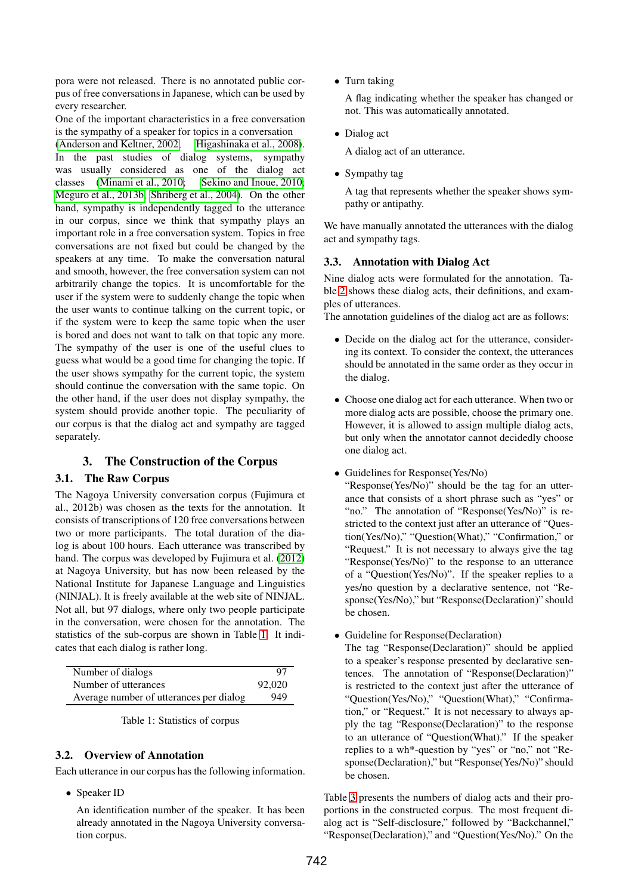pora were not released. There is no annotated public corpus of free conversations in Japanese, which can be used by every researcher.

One of the important characteristics in a free conversation is the sympathy of a speaker for topics in a conversation

[\(Anderson and Keltner, 2002;](#page-6-11) [Higashinaka et al., 2008\)](#page-6-12). In the past studies of dialog systems, sympathy was usually considered as one of the dialog act classes [\(Minami et al., 2010;](#page-6-13) [Sekino and Inoue, 2010;](#page-6-14) [Meguro et al., 2013b;](#page-6-10) [Shriberg et al., 2004\)](#page-6-6). On the other hand, sympathy is independently tagged to the utterance in our corpus, since we think that sympathy plays an important role in a free conversation system. Topics in free conversations are not fixed but could be changed by the speakers at any time. To make the conversation natural and smooth, however, the free conversation system can not arbitrarily change the topics. It is uncomfortable for the user if the system were to suddenly change the topic when the user wants to continue talking on the current topic, or if the system were to keep the same topic when the user is bored and does not want to talk on that topic any more. The sympathy of the user is one of the useful clues to guess what would be a good time for changing the topic. If the user shows sympathy for the current topic, the system should continue the conversation with the same topic. On the other hand, if the user does not display sympathy, the system should provide another topic. The peculiarity of our corpus is that the dialog act and sympathy are tagged separately.

# 3. The Construction of the Corpus

## 3.1. The Raw Corpus

The Nagoya University conversation corpus (Fujimura et al., 2012b) was chosen as the texts for the annotation. It consists of transcriptions of 120 free conversations between two or more participants. The total duration of the dialog is about 100 hours. Each utterance was transcribed by hand. The corpus was developed by Fujimura et al. [\(2012\)](#page-6-15) at Nagoya University, but has now been released by the National Institute for Japanese Language and Linguistics (NINJAL). It is freely available at the web site of NINJAL. Not all, but 97 dialogs, where only two people participate in the conversation, were chosen for the annotation. The statistics of the sub-corpus are shown in Table [1.](#page-1-0) It indicates that each dialog is rather long.

| Number of dialogs                       | 97     |
|-----------------------------------------|--------|
| Number of utterances                    | 92,020 |
| Average number of utterances per dialog | 949    |

<span id="page-1-0"></span>

| Table 1: Statistics of corpus |
|-------------------------------|
|-------------------------------|

## 3.2. Overview of Annotation

Each utterance in our corpus has the following information.

• Speaker ID

An identification number of the speaker. It has been already annotated in the Nagoya University conversation corpus.

• Turn taking

A flag indicating whether the speaker has changed or not. This was automatically annotated.

• Dialog act

A dialog act of an utterance.

• Sympathy tag

A tag that represents whether the speaker shows sympathy or antipathy.

We have manually annotated the utterances with the dialog act and sympathy tags.

## 3.3. Annotation with Dialog Act

Nine dialog acts were formulated for the annotation. Table [2](#page-2-0) shows these dialog acts, their definitions, and examples of utterances.

The annotation guidelines of the dialog act are as follows:

- Decide on the dialog act for the utterance, considering its context. To consider the context, the utterances should be annotated in the same order as they occur in the dialog.
- Choose one dialog act for each utterance. When two or more dialog acts are possible, choose the primary one. However, it is allowed to assign multiple dialog acts, but only when the annotator cannot decidedly choose one dialog act.
- Guidelines for Response(Yes/No)

"Response(Yes/No)" should be the tag for an utterance that consists of a short phrase such as "yes" or "no." The annotation of "Response(Yes/No)" is restricted to the context just after an utterance of "Question(Yes/No)," "Question(What)," "Confirmation," or "Request." It is not necessary to always give the tag "Response(Yes/No)" to the response to an utterance of a "Question(Yes/No)". If the speaker replies to a yes/no question by a declarative sentence, not "Response(Yes/No)," but "Response(Declaration)" should be chosen.

• Guideline for Response(Declaration)

The tag "Response(Declaration)" should be applied to a speaker's response presented by declarative sentences. The annotation of "Response(Declaration)" is restricted to the context just after the utterance of "Question(Yes/No)," "Question(What)," "Confirmation," or "Request." It is not necessary to always apply the tag "Response(Declaration)" to the response to an utterance of "Question(What)." If the speaker replies to a wh\*-question by "yes" or "no," not "Response(Declaration)," but "Response(Yes/No)" should be chosen.

Table [3](#page-2-1) presents the numbers of dialog acts and their proportions in the constructed corpus. The most frequent dialog act is "Self-disclosure," followed by "Backchannel," "Response(Declaration)," and "Question(Yes/No)." On the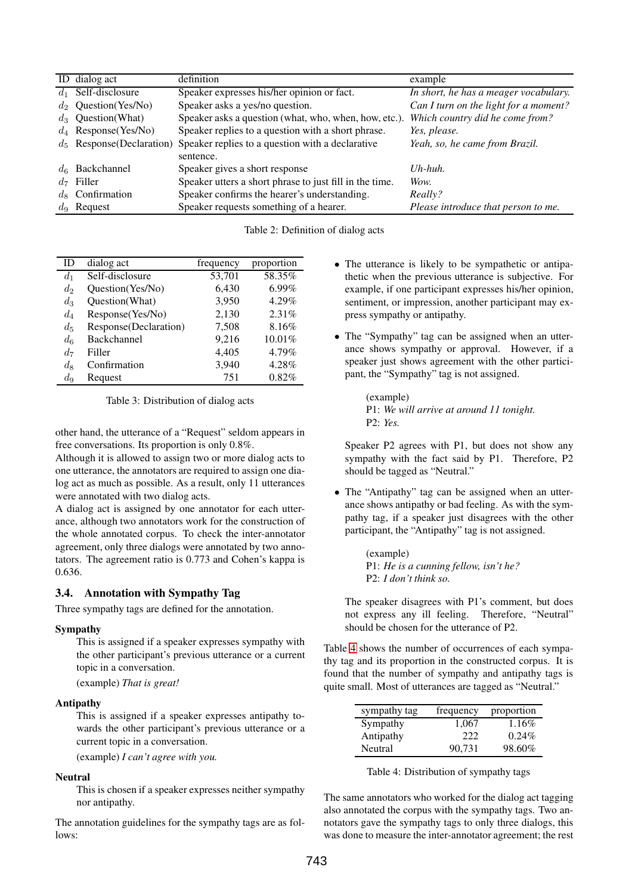|         | ID dialog act           | definition                                                                    | example                               |
|---------|-------------------------|-------------------------------------------------------------------------------|---------------------------------------|
|         | $d_1$ Self-disclosure   | Speaker expresses his/her opinion or fact.                                    | In short, he has a meager vocabulary. |
|         | $d_2$ Question(Yes/No)  | Speaker asks a yes/no question.                                               | Can I turn on the light for a moment? |
|         | $d_3$ Question(What)    | Speaker asks a question (what, who, when, how, etc.).                         | Which country did he come from?       |
|         | $d_4$ Response (Yes/No) | Speaker replies to a question with a short phrase.                            | Yes, please.                          |
|         |                         | $d_5$ Response (Declaration) Speaker replies to a question with a declarative | Yeah, so, he came from Brazil.        |
|         |                         | sentence.                                                                     |                                       |
|         | $d_6$ Backchannel       | Speaker gives a short response                                                | $Uh$ -huh.                            |
| $d_7$   | Filler                  | Speaker utters a short phrase to just fill in the time.                       | Wow.                                  |
| $d_{8}$ | Confirmation            | Speaker confirms the hearer's understanding.                                  | Really?                               |
|         | $d_9$ Request           | Speaker requests something of a hearer.                                       | Please introduce that person to me.   |

<span id="page-2-0"></span>Table 2: Definition of dialog acts

| ID      | dialog act            | frequency | proportion |
|---------|-----------------------|-----------|------------|
| $d_1$   | Self-disclosure       | 53,701    | 58.35%     |
| $d_2$   | Question(Yes/No)      | 6,430     | $6.99\%$   |
| $d_3$   | Question(What)        | 3,950     | 4.29%      |
| $d_4$   | Response(Yes/No)      | 2,130     | 2.31%      |
| $d_5$   | Response(Declaration) | 7,508     | 8.16%      |
| $d_{6}$ | Backchannel           | 9,216     | 10.01%     |
| $d_7$   | Filler                | 4,405     | 4.79%      |
| $\,d_8$ | Confirmation          | 3,940     | 4.28%      |
| $d_{9}$ | Request               | 751       | 0.82%      |

<span id="page-2-1"></span>Table 3: Distribution of dialog acts

other hand, the utterance of a "Request" seldom appears in free conversations. Its proportion is only 0.8%.

Although it is allowed to assign two or more dialog acts to one utterance, the annotators are required to assign one dialog act as much as possible. As a result, only 11 utterances were annotated with two dialog acts.

A dialog act is assigned by one annotator for each utterance, although two annotators work for the construction of the whole annotated corpus. To check the inter-annotator agreement, only three dialogs were annotated by two annotators. The agreement ratio is 0.773 and Cohen's kappa is 0.636.

# 3.4. Annotation with Sympathy Tag

Three sympathy tags are defined for the annotation.

## Sympathy

This is assigned if a speaker expresses sympathy with the other participant's previous utterance or a current topic in a conversation.

(example) *That is great!*

#### Antipathy

This is assigned if a speaker expresses antipathy towards the other participant's previous utterance or a current topic in a conversation.

(example) *I can't agree with you.*

# Neutral

This is chosen if a speaker expresses neither sympathy nor antipathy.

The annotation guidelines for the sympathy tags are as follows:

- The utterance is likely to be sympathetic or antipathetic when the previous utterance is subjective. For example, if one participant expresses his/her opinion, sentiment, or impression, another participant may express sympathy or antipathy.
- The "Sympathy" tag can be assigned when an utterance shows sympathy or approval. However, if a speaker just shows agreement with the other participant, the "Sympathy" tag is not assigned.

(example) P1: *We will arrive at around 11 tonight.* P2: *Yes.*

Speaker P2 agrees with P1, but does not show any sympathy with the fact said by P1. Therefore, P2 should be tagged as "Neutral."

• The "Antipathy" tag can be assigned when an utterance shows antipathy or bad feeling. As with the sympathy tag, if a speaker just disagrees with the other participant, the "Antipathy" tag is not assigned.

> (example) P1: *He is a cunning fellow, isn't he?* P2: *I don't think so.*

The speaker disagrees with P1's comment, but does not express any ill feeling. Therefore, "Neutral" should be chosen for the utterance of P2.

Table [4](#page-2-2) shows the number of occurrences of each sympathy tag and its proportion in the constructed corpus. It is found that the number of sympathy and antipathy tags is quite small. Most of utterances are tagged as "Neutral."

| sympathy tag | frequency | proportion |
|--------------|-----------|------------|
| Sympathy     | 1,067     | 1.16%      |
| Antipathy    | 222       | $0.24\%$   |
| Neutral      | 90,731    | 98.60%     |

<span id="page-2-2"></span>Table 4: Distribution of sympathy tags

The same annotators who worked for the dialog act tagging also annotated the corpus with the sympathy tags. Two annotators gave the sympathy tags to only three dialogs, this was done to measure the inter-annotator agreement; the rest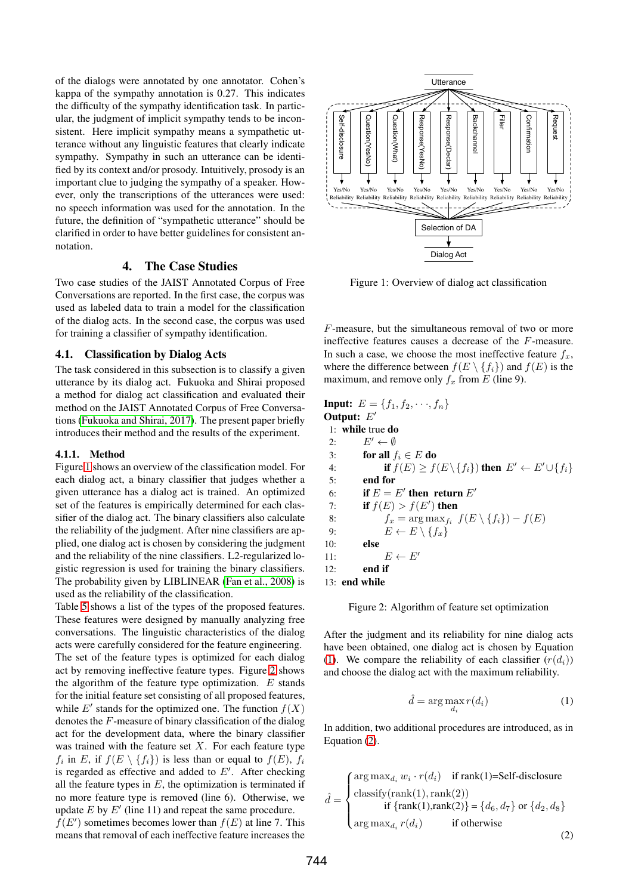of the dialogs were annotated by one annotator. Cohen's kappa of the sympathy annotation is 0.27. This indicates the difficulty of the sympathy identification task. In particular, the judgment of implicit sympathy tends to be inconsistent. Here implicit sympathy means a sympathetic utterance without any linguistic features that clearly indicate sympathy. Sympathy in such an utterance can be identified by its context and/or prosody. Intuitively, prosody is an important clue to judging the sympathy of a speaker. However, only the transcriptions of the utterances were used: no speech information was used for the annotation. In the future, the definition of "sympathetic utterance" should be clarified in order to have better guidelines for consistent annotation.

# 4. The Case Studies

Two case studies of the JAIST Annotated Corpus of Free Conversations are reported. In the first case, the corpus was used as labeled data to train a model for the classification of the dialog acts. In the second case, the corpus was used for training a classifier of sympathy identification.

## 4.1. Classification by Dialog Acts

The task considered in this subsection is to classify a given utterance by its dialog act. Fukuoka and Shirai proposed a method for dialog act classification and evaluated their method on the JAIST Annotated Corpus of Free Conversations [\(Fukuoka and Shirai, 2017\)](#page-6-16). The present paper briefly introduces their method and the results of the experiment.

#### 4.1.1. Method

Figure [1](#page-3-0) shows an overview of the classification model. For each dialog act, a binary classifier that judges whether a given utterance has a dialog act is trained. An optimized set of the features is empirically determined for each classifier of the dialog act. The binary classifiers also calculate the reliability of the judgment. After nine classifiers are applied, one dialog act is chosen by considering the judgment and the reliability of the nine classifiers. L2-regularized logistic regression is used for training the binary classifiers. The probability given by LIBLINEAR [\(Fan et al., 2008\)](#page-6-17) is used as the reliability of the classification.

Table [5](#page-4-0) shows a list of the types of the proposed features. These features were designed by manually analyzing free conversations. The linguistic characteristics of the dialog acts were carefully considered for the feature engineering. The set of the feature types is optimized for each dialog act by removing ineffective feature types. Figure [2](#page-3-1) shows the algorithm of the feature type optimization.  $E$  stands for the initial feature set consisting of all proposed features, while  $E'$  stands for the optimized one. The function  $f(X)$ <br>denotes the  $F$ -measure of binary classification of the dialog denotes the F-measure of binary classification of the dialog act for the development data, where the binary classifier was trained with the feature set  $X$ . For each feature type  $f_i$  in E, if  $f(E \setminus \{f_i\})$  is less than or equal to  $f(E)$ ,  $f_i$ is regarded as effective and added to  $E'$ . After checking all the feature types in  $E$ , the optimization is terminated if no more feature type is removed (line 6). Otherwise, we update  $E$  by  $E'$  (line 11) and repeat the same procedure.

 $f(E')$  sometimes becomes lower than  $f(E)$  at line 7. This means that removal of each ineffective feature increases the means that removal of each ineffective feature increases the



<span id="page-3-0"></span>Figure 1: Overview of dialog act classification

F-measure, but the simultaneous removal of two or more ineffective features causes a decrease of the F-measure. In such a case, we choose the most ineffective feature  $f<sub>x</sub>$ , where the difference between  $f(E \setminus \{f_i\})$  and  $f(E)$  is the maximum, and remove only  $f_x$  from E (line 9).

**Input:**  $E = \{f_1, f_2, \dots, f_n\}$ Output:  $E'$ 1: while true do 2:  $E' \leftarrow \emptyset$ 3: **for all**  $f_i \in E$  do 4: **if**  $f(E) \ge f(E \setminus \{f_i\})$  then  $E' \leftarrow E' \cup \{f_i\}$ 5: end for 6: **if**  $E = E'$  then return  $E'$ <br>7. **if**  $f(E) > f(E')$  then 7: **if**  $f(E) > f(E')$  then<br>8.  $f = \arg\max_{E} f(E)$ 8:  $f_x = \arg \max_{f_i} f(E \setminus \{f_i\}) - f(E)$ <br>9:  $E \leftarrow E \setminus \{f_x\}$  $E \leftarrow E \setminus \{f_x\}$ 10: else 11:  $E \leftarrow E'$ 12: end if 13: end while

<span id="page-3-1"></span>Figure 2: Algorithm of feature set optimization

After the judgment and its reliability for nine dialog acts have been obtained, one dialog act is chosen by Equation [\(1\)](#page-3-2). We compare the reliability of each classifier  $(r(d_i))$ and choose the dialog act with the maximum reliability.

<span id="page-3-2"></span>
$$
\hat{d} = \arg \max_{d_i} r(d_i) \tag{1}
$$

In addition, two additional procedures are introduced, as in Equation [\(2\)](#page-3-3).

<span id="page-3-3"></span>
$$
\hat{d} = \begin{cases}\n\arg \max_{d_i} w_i \cdot r(d_i) & \text{if } \text{rank}(1) = \text{Self-disclosure} \\
\text{classify}(\text{rank}(1), \text{rank}(2)) \\
\text{if } \{\text{rank}(1), \text{rank}(2)\} = \{d_6, d_7\} \text{ or } \{d_2, d_8\} \\
\text{arg } \max_{d_i} r(d_i) & \text{if otherwise}\n\end{cases}
$$
\n(2)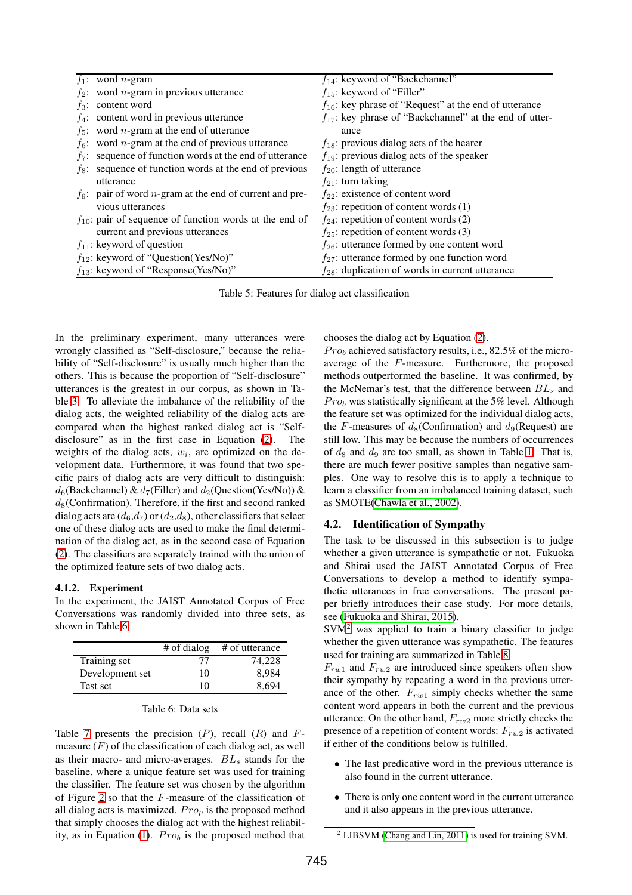|         | $f_1$ : word <i>n</i> -gram                                        | $f_{14}$ : keyword of "Backchannel"                         |
|---------|--------------------------------------------------------------------|-------------------------------------------------------------|
|         | $f_2$ : word <i>n</i> -gram in previous utterance                  | $f_{15}$ : keyword of "Filler"                              |
|         | $f_3$ : content word                                               | $f_{16}$ : key phrase of "Request" at the end of utterance  |
|         | $f_4$ : content word in previous utterance                         | $f_{17}$ : key phrase of "Backchannel" at the end of utter- |
|         | $f_5$ : word <i>n</i> -gram at the end of utterance                | ance                                                        |
|         | $f_6$ : word <i>n</i> -gram at the end of previous utterance       | $f_{18}$ : previous dialog acts of the hearer               |
|         | $f_7$ : sequence of function words at the end of utterance         | $f_{19}$ : previous dialog acts of the speaker              |
| $f_8$ : | sequence of function words at the end of previous                  | $f_{20}$ : length of utterance                              |
|         | utterance                                                          | $f_{21}$ : turn taking                                      |
|         | $f_9$ : pair of word <i>n</i> -gram at the end of current and pre- | $f_{22}$ : existence of content word                        |
|         | vious utterances                                                   | $f_{23}$ : repetition of content words (1)                  |
|         | $f_{10}$ : pair of sequence of function words at the end of        | $f_{24}$ : repetition of content words (2)                  |
|         | current and previous utterances                                    | $f_{25}$ : repetition of content words (3)                  |
|         | $f_{11}$ : keyword of question                                     | $f_{26}$ : utterance formed by one content word             |
|         | $f_{12}$ : keyword of "Question(Yes/No)"                           | $f_{27}$ : utterance formed by one function word            |
|         | $f_{13}$ : keyword of "Response(Yes/No)"                           | $f_{28}$ : duplication of words in current utterance        |

<span id="page-4-0"></span>Table 5: Features for dialog act classification

In the preliminary experiment, many utterances were wrongly classified as "Self-disclosure," because the reliability of "Self-disclosure" is usually much higher than the others. This is because the proportion of "Self-disclosure" utterances is the greatest in our corpus, as shown in Table [3.](#page-2-1) To alleviate the imbalance of the reliability of the dialog acts, the weighted reliability of the dialog acts are compared when the highest ranked dialog act is "Selfdisclosure" as in the first case in Equation [\(2\)](#page-3-3). The weights of the dialog acts, w*i*, are optimized on the development data. Furthermore, it was found that two specific pairs of dialog acts are very difficult to distinguish:  $d_6$ (Backchannel) &  $d_7$ (Filler) and  $d_2$ (Question(Yes/No)) &  $d_8$ (Confirmation). Therefore, if the first and second ranked dialog acts are  $(d_6, d_7)$  or  $(d_2, d_8)$ , other classifiers that select one of these dialog acts are used to make the final determination of the dialog act, as in the second case of Equation [\(2\)](#page-3-3). The classifiers are separately trained with the union of the optimized feature sets of two dialog acts.

#### 4.1.2. Experiment

In the experiment, the JAIST Annotated Corpus of Free Conversations was randomly divided into three sets, as shown in Table [6.](#page-4-1)

|                 | # of dialog | # of utterance |
|-----------------|-------------|----------------|
| Training set    | 77          | 74,228         |
| Development set | 10          | 8,984          |
| Test set        | 10          | 8.694          |

<span id="page-4-1"></span>

| Table 6: Data sets |  |  |
|--------------------|--|--|
|--------------------|--|--|

Table [7](#page-5-0) presents the precision  $(P)$ , recall  $(R)$  and  $F$ measure  $(F)$  of the classification of each dialog act, as well as their macro- and micro-averages. BL*<sup>s</sup>* stands for the baseline, where a unique feature set was used for training the classifier. The feature set was chosen by the algorithm of Figure [2](#page-3-1) so that the F-measure of the classification of all dialog acts is maximized.  $Pro<sub>p</sub>$  is the proposed method that simply chooses the dialog act with the highest reliability, as in Equation  $(1)$ .  $Pro<sub>b</sub>$  is the proposed method that chooses the dialog act by Equation [\(2\)](#page-3-3).

 $Pro<sub>b</sub>$  achieved satisfactory results, i.e., 82.5% of the microaverage of the F-measure. Furthermore, the proposed methods outperformed the baseline. It was confirmed, by the McNemar's test, that the difference between BL*<sup>s</sup>* and  $Pro<sub>b</sub>$  was statistically significant at the 5% level. Although the feature set was optimized for the individual dialog acts, the F-measures of  $d_8$ (Confirmation) and  $d_9$ (Request) are still low. This may be because the numbers of occurrences of  $d_8$  and  $d_9$  are too small, as shown in Table [1.](#page-1-0) That is, there are much fewer positive samples than negative samples. One way to resolve this is to apply a technique to learn a classifier from an imbalanced training dataset, such as SMOTE[\(Chawla et al., 2002\)](#page-6-18).

## 4.2. Identification of Sympathy

The task to be discussed in this subsection is to judge whether a given utterance is sympathetic or not. Fukuoka and Shirai used the JAIST Annotated Corpus of Free Conversations to develop a method to identify sympathetic utterances in free conversations. The present paper briefly introduces their case study. For more details, see [\(Fukuoka and Shirai, 2015\)](#page-6-19).

 $SVM<sup>2</sup>$  $SVM<sup>2</sup>$  $SVM<sup>2</sup>$  was applied to train a binary classifier to judge whether the given utterance was sympathetic. The features used for training are summarized in Table [8.](#page-5-1)

 $F_{rw1}$  and  $F_{rw2}$  are introduced since speakers often show their sympathy by repeating a word in the previous utterance of the other.  $F_{rw1}$  simply checks whether the same content word appears in both the current and the previous utterance. On the other hand, F*rw*<sup>2</sup> more strictly checks the presence of a repetition of content words: F*rw*<sup>2</sup> is activated if either of the conditions below is fulfilled.

- The last predicative word in the previous utterance is also found in the current utterance.
- There is only one content word in the current utterance and it also appears in the previous utterance.

<span id="page-4-2"></span><sup>2</sup> LIBSVM [\(Chang and Lin, 2011\)](#page-6-20) is used for training SVM.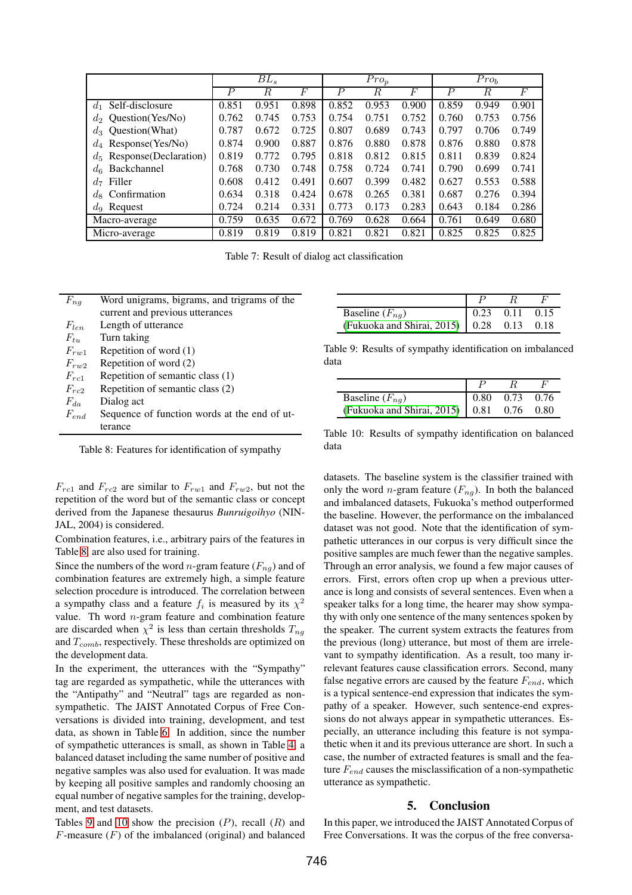|                              |                  | $BL_s$ | $Pro_{p}$ |                  |       |       | Pro <sub>b</sub> |       |       |
|------------------------------|------------------|--------|-----------|------------------|-------|-------|------------------|-------|-------|
|                              | $\boldsymbol{P}$ | R      | F         | $\boldsymbol{P}$ | R     | F     | $\boldsymbol{P}$ | R     | F     |
| $d_1$ Self-disclosure        | 0.851            | 0.951  | 0.898     | 0.852            | 0.953 | 0.900 | 0.859            | 0.949 | 0.901 |
| Question(Yes/No)<br>$d_2$    | 0.762            | 0.745  | 0.753     | 0.754            | 0.751 | 0.752 | 0.760            | 0.753 | 0.756 |
| $d_3$ Ouestion (What)        | 0.787            | 0.672  | 0.725     | 0.807            | 0.689 | 0.743 | 0.797            | 0.706 | 0.749 |
| $d_4$ Response (Yes/No)      | 0.874            | 0.900  | 0.887     | 0.876            | 0.880 | 0.878 | 0.876            | 0.880 | 0.878 |
| $d_5$ Response (Declaration) | 0.819            | 0.772  | 0.795     | 0.818            | 0.812 | 0.815 | 0.811            | 0.839 | 0.824 |
| Backchannel<br>$d_{6}$       | 0.768            | 0.730  | 0.748     | 0.758            | 0.724 | 0.741 | 0.790            | 0.699 | 0.741 |
| Filler<br>$d_{7}$            | 0.608            | 0.412  | 0.491     | 0.607            | 0.399 | 0.482 | 0.627            | 0.553 | 0.588 |
| $d_8$ Confirmation           | 0.634            | 0.318  | 0.424     | 0.678            | 0.265 | 0.381 | 0.687            | 0.276 | 0.394 |
| $d_9$ Request                | 0.724            | 0.214  | 0.331     | 0.773            | 0.173 | 0.283 | 0.643            | 0.184 | 0.286 |
| Macro-average                | 0.759            | 0.635  | 0.672     | 0.769            | 0.628 | 0.664 | 0.761            | 0.649 | 0.680 |
| Micro-average                | 0.819            | 0.819  | 0.819     | 0.821            | 0.821 | 0.821 | 0.825            | 0.825 | 0.825 |

<span id="page-5-0"></span>Table 7: Result of dialog act classification

| $F_{ng}$        | Word unigrams, bigrams, and trigrams of the  |
|-----------------|----------------------------------------------|
|                 | current and previous utterances              |
| $F_{len}$       | Length of utterance                          |
| $F_{tu}$        | Turn taking                                  |
| $F_{r\bar{w}1}$ | Repetition of word $(1)$                     |
| $F_{rw2}$       | Repetition of word (2)                       |
| $F_{rc1}$       | Repetition of semantic class (1)             |
| $F_{rc2}$       | Repetition of semantic class (2)             |
| $F_{da}$        | Dialog act                                   |
| $F_{end}$       | Sequence of function words at the end of ut- |
|                 | terance                                      |

<span id="page-5-1"></span>Table 8: Features for identification of sympathy

 $F_{rc1}$  and  $F_{rc2}$  are similar to  $F_{rw1}$  and  $F_{rw2}$ , but not the repetition of the word but of the semantic class or concept derived from the Japanese thesaurus *Bunruigoihyo* (NIN-JAL, 2004) is considered.

Combination features, i.e., arbitrary pairs of the features in Table [8,](#page-5-1) are also used for training.

Since the numbers of the word *n*-gram feature  $(F_{na})$  and of combination features are extremely high, a simple feature selection procedure is introduced. The correlation between a sympathy class and a feature  $f_i$  is measured by its  $\chi^2$ value. Th word  $n$ -gram feature and combination feature are discarded when  $\chi^2$  is less than certain thresholds  $T_{ng}$ and T*comb*, respectively. These thresholds are optimized on the development data.

In the experiment, the utterances with the "Sympathy" tag are regarded as sympathetic, while the utterances with the "Antipathy" and "Neutral" tags are regarded as nonsympathetic. The JAIST Annotated Corpus of Free Conversations is divided into training, development, and test data, as shown in Table [6.](#page-4-1) In addition, since the number of sympathetic utterances is small, as shown in Table [4,](#page-2-2) a balanced dataset including the same number of positive and negative samples was also used for evaluation. It was made by keeping all positive samples and randomly choosing an equal number of negative samples for the training, development, and test datasets.

Tables [9](#page-5-2) and [10](#page-5-3) show the precision  $(P)$ , recall  $(R)$  and  $F$ -measure  $(F)$  of the imbalanced (original) and balanced

| Baseline $(F_{nq})$                         | $0.23$ $0.11$ $0.15$ |  |
|---------------------------------------------|----------------------|--|
| (Fukuoka and Shirai, 2015)   0.28 0.13 0.18 |                      |  |

Table 9: Results of sympathy identification on imbalanced data

<span id="page-5-2"></span>

| Baseline $(F_{nq})$                         | 0.80 | $0.73$ 0.76 |  |
|---------------------------------------------|------|-------------|--|
| (Fukuoka and Shirai, 2015)   0.81 0.76 0.80 |      |             |  |

<span id="page-5-3"></span>Table 10: Results of sympathy identification on balanced data

datasets. The baseline system is the classifier trained with only the word *n*-gram feature  $(F_{nq})$ . In both the balanced and imbalanced datasets, Fukuoka's method outperformed the baseline. However, the performance on the imbalanced dataset was not good. Note that the identification of sympathetic utterances in our corpus is very difficult since the positive samples are much fewer than the negative samples. Through an error analysis, we found a few major causes of errors. First, errors often crop up when a previous utterance is long and consists of several sentences. Even when a speaker talks for a long time, the hearer may show sympathy with only one sentence of the many sentences spoken by the speaker. The current system extracts the features from the previous (long) utterance, but most of them are irrelevant to sympathy identification. As a result, too many irrelevant features cause classification errors. Second, many false negative errors are caused by the feature F*end*, which is a typical sentence-end expression that indicates the sympathy of a speaker. However, such sentence-end expressions do not always appear in sympathetic utterances. Especially, an utterance including this feature is not sympathetic when it and its previous utterance are short. In such a case, the number of extracted features is small and the feature F*end* causes the misclassification of a non-sympathetic utterance as sympathetic.

#### 5. Conclusion

In this paper, we introduced the JAIST Annotated Corpus of Free Conversations. It was the corpus of the free conversa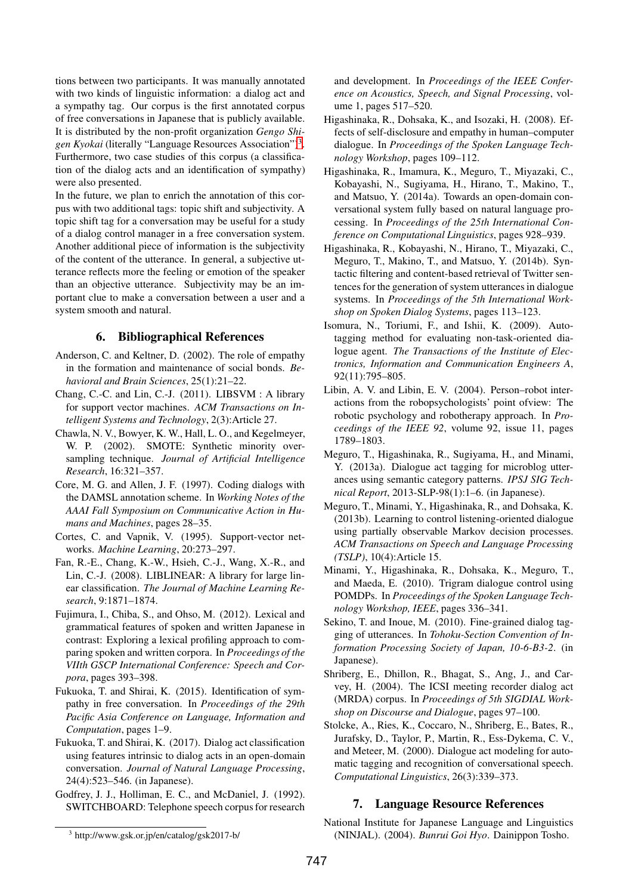tions between two participants. It was manually annotated with two kinds of linguistic information: a dialog act and a sympathy tag. Our corpus is the first annotated corpus of free conversations in Japanese that is publicly available. It is distributed by the non-profit organization *Gengo Shigen Kyokai* (literally "Language Resources Association")[3.](#page-6-21) Furthermore, two case studies of this corpus (a classification of the dialog acts and an identification of sympathy) were also presented.

In the future, we plan to enrich the annotation of this corpus with two additional tags: topic shift and subjectivity. A topic shift tag for a conversation may be useful for a study of a dialog control manager in a free conversation system. Another additional piece of information is the subjectivity of the content of the utterance. In general, a subjective utterance reflects more the feeling or emotion of the speaker than an objective utterance. Subjectivity may be an important clue to make a conversation between a user and a system smooth and natural.

## 6. Bibliographical References

- <span id="page-6-11"></span>Anderson, C. and Keltner, D. (2002). The role of empathy in the formation and maintenance of social bonds. *Behavioral and Brain Sciences*, 25(1):21–22.
- <span id="page-6-20"></span>Chang, C.-C. and Lin, C.-J. (2011). LIBSVM : A library for support vector machines. *ACM Transactions on Intelligent Systems and Technology*, 2(3):Article 27.
- <span id="page-6-18"></span>Chawla, N. V., Bowyer, K. W., Hall, L. O., and Kegelmeyer, W. P. (2002). SMOTE: Synthetic minority oversampling technique. *Journal of Artificial Intelligence Research*, 16:321–357.
- <span id="page-6-5"></span>Core, M. G. and Allen, J. F. (1997). Coding dialogs with the DAMSL annotation scheme. In *Working Notes of the AAAI Fall Symposium on Communicative Action in Humans and Machines*, pages 28–35.
- <span id="page-6-9"></span>Cortes, C. and Vapnik, V. (1995). Support-vector networks. *Machine Learning*, 20:273–297.
- <span id="page-6-17"></span>Fan, R.-E., Chang, K.-W., Hsieh, C.-J., Wang, X.-R., and Lin, C.-J. (2008). LIBLINEAR: A library for large linear classification. *The Journal of Machine Learning Research*, 9:1871–1874.
- <span id="page-6-15"></span>Fujimura, I., Chiba, S., and Ohso, M. (2012). Lexical and grammatical features of spoken and written Japanese in contrast: Exploring a lexical profiling approach to comparing spoken and written corpora. In *Proceedings of the VIIth GSCP International Conference: Speech and Corpora*, pages 393–398.
- <span id="page-6-19"></span>Fukuoka, T. and Shirai, K. (2015). Identification of sympathy in free conversation. In *Proceedings of the 29th Pacific Asia Conference on Language, Information and Computation*, pages 1–9.
- <span id="page-6-16"></span>Fukuoka, T. and Shirai, K. (2017). Dialog act classification using features intrinsic to dialog acts in an open-domain conversation. *Journal of Natural Language Processing*, 24(4):523–546. (in Japanese).
- <span id="page-6-4"></span>Godfrey, J. J., Holliman, E. C., and McDaniel, J. (1992). SWITCHBOARD: Telephone speech corpus for research

and development. In *Proceedings of the IEEE Conference on Acoustics, Speech, and Signal Processing*, volume 1, pages 517–520.

- <span id="page-6-12"></span>Higashinaka, R., Dohsaka, K., and Isozaki, H. (2008). Effects of self-disclosure and empathy in human–computer dialogue. In *Proceedings of the Spoken Language Technology Workshop*, pages 109–112.
- <span id="page-6-1"></span>Higashinaka, R., Imamura, K., Meguro, T., Miyazaki, C., Kobayashi, N., Sugiyama, H., Hirano, T., Makino, T., and Matsuo, Y. (2014a). Towards an open-domain conversational system fully based on natural language processing. In *Proceedings of the 25th International Conference on Computational Linguistics*, pages 928–939.
- <span id="page-6-2"></span>Higashinaka, R., Kobayashi, N., Hirano, T., Miyazaki, C., Meguro, T., Makino, T., and Matsuo, Y. (2014b). Syntactic filtering and content-based retrieval of Twitter sentences for the generation of system utterances in dialogue systems. In *Proceedings of the 5th International Workshop on Spoken Dialog Systems*, pages 113–123.
- <span id="page-6-7"></span>Isomura, N., Toriumi, F., and Ishii, K. (2009). Autotagging method for evaluating non-task-oriented dialogue agent. *The Transactions of the Institute of Electronics, Information and Communication Engineers A*, 92(11):795–805.
- <span id="page-6-0"></span>Libin, A. V. and Libin, E. V. (2004). Person–robot interactions from the robopsychologists' point ofview: The robotic psychology and robotherapy approach. In *Proceedings of the IEEE 92*, volume 92, issue 11, pages 1789–1803.
- <span id="page-6-8"></span>Meguro, T., Higashinaka, R., Sugiyama, H., and Minami, Y. (2013a). Dialogue act tagging for microblog utterances using semantic category patterns. *IPSJ SIG Technical Report*, 2013-SLP-98(1):1–6. (in Japanese).
- <span id="page-6-10"></span>Meguro, T., Minami, Y., Higashinaka, R., and Dohsaka, K. (2013b). Learning to control listening-oriented dialogue using partially observable Markov decision processes. *ACM Transactions on Speech and Language Processing (TSLP)*, 10(4):Article 15.
- <span id="page-6-13"></span>Minami, Y., Higashinaka, R., Dohsaka, K., Meguro, T., and Maeda, E. (2010). Trigram dialogue control using POMDPs. In *Proceedings of the Spoken Language Technology Workshop, IEEE*, pages 336–341.
- <span id="page-6-14"></span>Sekino, T. and Inoue, M. (2010). Fine-grained dialog tagging of utterances. In *Tohoku-Section Convention of Information Processing Society of Japan, 10-6-B3-2*. (in Japanese).
- <span id="page-6-6"></span>Shriberg, E., Dhillon, R., Bhagat, S., Ang, J., and Carvey, H. (2004). The ICSI meeting recorder dialog act (MRDA) corpus. In *Proceedings of 5th SIGDIAL Workshop on Discourse and Dialogue*, pages 97–100.
- <span id="page-6-3"></span>Stolcke, A., Ries, K., Coccaro, N., Shriberg, E., Bates, R., Jurafsky, D., Taylor, P., Martin, R., Ess-Dykema, C. V., and Meteer, M. (2000). Dialogue act modeling for automatic tagging and recognition of conversational speech. *Computational Linguistics*, 26(3):339–373.

## 7. Language Resource References

<span id="page-6-21"></span><sup>3</sup> http://www.gsk.or.jp/en/catalog/gsk2017-b/